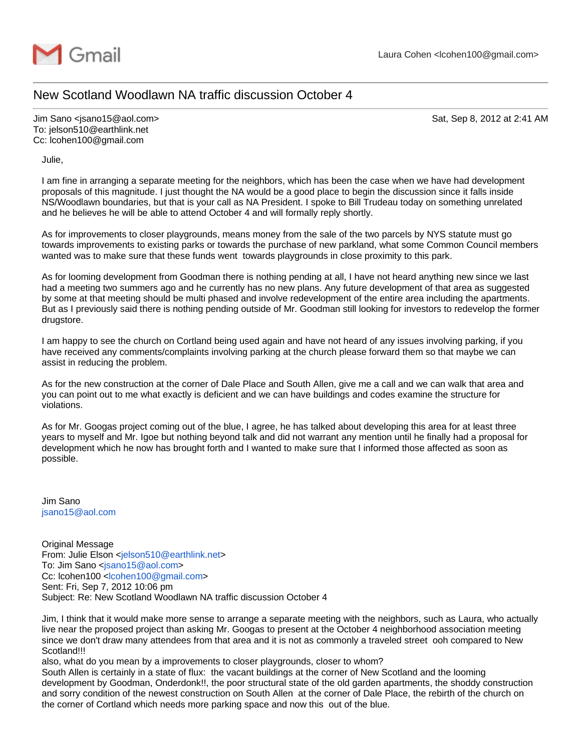

## New Scotland Woodlawn NA traffic discussion October 4

Jim Sano <jsano15@aol.com> Sat, Sep 8, 2012 at 2:41 AM To: jelson510@earthlink.net Cc: lcohen100@gmail.com

Julie,

I am fine in arranging a separate meeting for the neighbors, which has been the case when we have had development proposals of this magnitude. I just thought the NA would be a good place to begin the discussion since it falls inside NS/Woodlawn boundaries, but that is your call as NA President. I spoke to Bill Trudeau today on something unrelated and he believes he will be able to attend October 4 and will formally reply shortly.

As for improvements to closer playgrounds, means money from the sale of the two parcels by NYS statute must go towards improvements to existing parks or towards the purchase of new parkland, what some Common Council members wanted was to make sure that these funds went towards playgrounds in close proximity to this park.

As for looming development from Goodman there is nothing pending at all, I have not heard anything new since we last had a meeting two summers ago and he currently has no new plans. Any future development of that area as suggested by some at that meeting should be multi phased and involve redevelopment of the entire area including the apartments. But as I previously said there is nothing pending outside of Mr. Goodman still looking for investors to redevelop the former drugstore.

I am happy to see the church on Cortland being used again and have not heard of any issues involving parking, if you have received any comments/complaints involving parking at the church please forward them so that maybe we can assist in reducing the problem.

As for the new construction at the corner of Dale Place and South Allen, give me a call and we can walk that area and you can point out to me what exactly is deficient and we can have buildings and codes examine the structure for violations.

As for Mr. Googas project coming out of the blue, I agree, he has talked about developing this area for at least three years to myself and Mr. Igoe but nothing beyond talk and did not warrant any mention until he finally had a proposal for development which he now has brought forth and I wanted to make sure that I informed those affected as soon as possible.

Jim Sano jsano15@aol.com

Original Message From: Julie Elson <jelson510@earthlink.net> To: Jim Sano <jsano15@aol.com> Cc: Icohen100 <lcohen100@gmail.com> Sent: Fri, Sep 7, 2012 10:06 pm Subject: Re: New Scotland Woodlawn NA traffic discussion October 4

Jim, I think that it would make more sense to arrange a separate meeting with the neighbors, such as Laura, who actually live near the proposed project than asking Mr. Googas to present at the October 4 neighborhood association meeting since we don't draw many attendees from that area and it is not as commonly a traveled street ooh compared to New Scotland!!!

also, what do you mean by a improvements to closer playgrounds, closer to whom?

South Allen is certainly in a state of flux: the vacant buildings at the corner of New Scotland and the looming development by Goodman, Onderdonk!!, the poor structural state of the old garden apartments, the shoddy construction and sorry condition of the newest construction on South Allen at the corner of Dale Place, the rebirth of the church on the corner of Cortland which needs more parking space and now this out of the blue.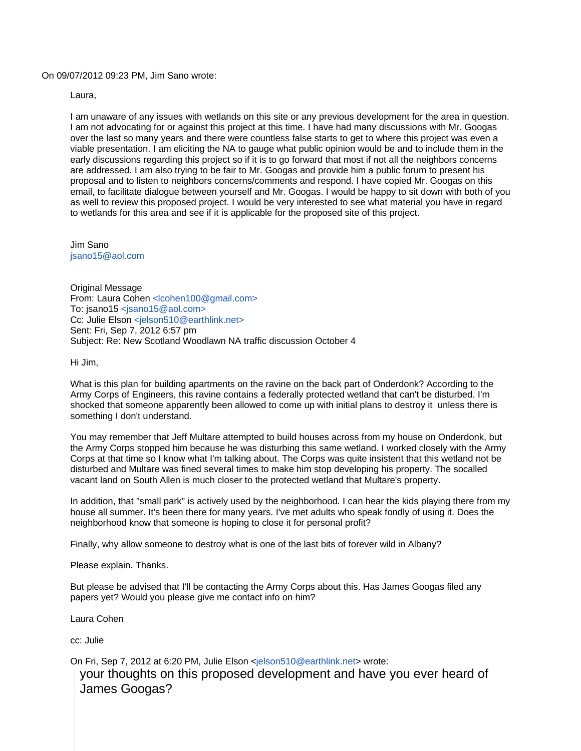## On 09/07/2012 09:23 PM, Jim Sano wrote:

Laura,

I am unaware of any issues with wetlands on this site or any previous development for the area in question. I am not advocating for or against this project at this time. I have had many discussions with Mr. Googas over the last so many years and there were countless false starts to get to where this project was even a viable presentation. I am eliciting the NA to gauge what public opinion would be and to include them in the early discussions regarding this project so if it is to go forward that most if not all the neighbors concerns are addressed. I am also trying to be fair to Mr. Googas and provide him a public forum to present his proposal and to listen to neighbors concerns/comments and respond. I have copied Mr. Googas on this email, to facilitate dialogue between yourself and Mr. Googas. I would be happy to sit down with both of you as well to review this proposed project. I would be very interested to see what material you have in regard to wetlands for this area and see if it is applicable for the proposed site of this project.

Jim Sano jsano15@aol.com

Original Message From: Laura Cohen <lcohen100@gmail.com> To: jsano15 <jsano15@aol.com> Cc: Julie Elson <jelson510@earthlink.net> Sent: Fri, Sep 7, 2012 6:57 pm Subject: Re: New Scotland Woodlawn NA traffic discussion October 4

Hi Jim,

What is this plan for building apartments on the ravine on the back part of Onderdonk? According to the Army Corps of Engineers, this ravine contains a federally protected wetland that can't be disturbed. I'm shocked that someone apparently been allowed to come up with initial plans to destroy it unless there is something I don't understand.

You may remember that Jeff Multare attempted to build houses across from my house on Onderdonk, but the Army Corps stopped him because he was disturbing this same wetland. I worked closely with the Army Corps at that time so I know what I'm talking about. The Corps was quite insistent that this wetland not be disturbed and Multare was fined several times to make him stop developing his property. The socalled vacant land on South Allen is much closer to the protected wetland that Multare's property.

In addition, that "small park" is actively used by the neighborhood. I can hear the kids playing there from my house all summer. It's been there for many years. I've met adults who speak fondly of using it. Does the neighborhood know that someone is hoping to close it for personal profit?

Finally, why allow someone to destroy what is one of the last bits of forever wild in Albany?

Please explain. Thanks.

But please be advised that I'll be contacting the Army Corps about this. Has James Googas filed any papers yet? Would you please give me contact info on him?

Laura Cohen

cc: Julie

On Fri, Sep 7, 2012 at 6:20 PM, Julie Elson <jelson510@earthlink.net> wrote:

your thoughts on this proposed development and have you ever heard of James Googas?